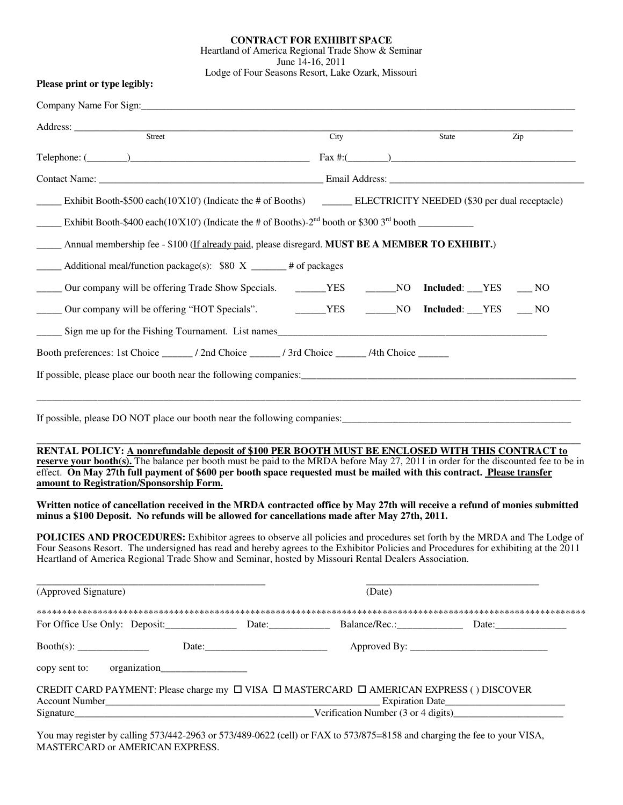## **CONTRACT FOR EXHIBIT SPACE**  Heartland of America Regional Trade Show & Seminar June 14-16, 2011 Lodge of Four Seasons Resort, Lake Ozark, Missouri

|  |  |  |  | Please print or type legibly: |
|--|--|--|--|-------------------------------|
|--|--|--|--|-------------------------------|

|                      | Address: <u>Street Street Street Street Street Street Street Street Street Street Street Street Street Street Street Street Street Street Street Street Street Street Street Street Street Street Street Street Street Street St</u>                                                                                                                                                                         | City   | State                   | Zip |
|----------------------|--------------------------------------------------------------------------------------------------------------------------------------------------------------------------------------------------------------------------------------------------------------------------------------------------------------------------------------------------------------------------------------------------------------|--------|-------------------------|-----|
|                      | Telephone: $(\_\_)$                                                                                                                                                                                                                                                                                                                                                                                          |        |                         |     |
|                      |                                                                                                                                                                                                                                                                                                                                                                                                              |        |                         |     |
|                      | Exhibit Booth-\$500 each(10'X10') (Indicate the # of Booths) ELECTRICITY NEEDED (\$30 per dual receptacle)                                                                                                                                                                                                                                                                                                   |        |                         |     |
|                      | Exhibit Booth-\$400 each(10'X10') (Indicate the # of Booths)- $2^{nd}$ booth or \$300 $3^{rd}$ booth                                                                                                                                                                                                                                                                                                         |        |                         |     |
|                      | Annual membership fee - \$100 (If already paid, please disregard. MUST BE A MEMBER TO EXHIBIT.)                                                                                                                                                                                                                                                                                                              |        |                         |     |
|                      | $\frac{1}{2}$ Additional meal/function package(s): \$80 X $\frac{1}{2}$ # of packages                                                                                                                                                                                                                                                                                                                        |        |                         |     |
|                      | Our company will be offering Trade Show Specials. _______YES _______NO Included: __YES ___ NO                                                                                                                                                                                                                                                                                                                |        |                         |     |
|                      | Dur company will be offering "HOT Specials". TES                                                                                                                                                                                                                                                                                                                                                             |        | NO Included: YES ___ NO |     |
|                      | Sign me up for the Fishing Tournament. List names                                                                                                                                                                                                                                                                                                                                                            |        |                         |     |
|                      |                                                                                                                                                                                                                                                                                                                                                                                                              |        |                         |     |
|                      |                                                                                                                                                                                                                                                                                                                                                                                                              |        |                         |     |
|                      |                                                                                                                                                                                                                                                                                                                                                                                                              |        |                         |     |
|                      | RENTAL POLICY: A nonrefundable deposit of \$100 PER BOOTH MUST BE ENCLOSED WITH THIS CONTRACT to<br>reserve your booth(s). The balance per booth must be paid to the MRDA before May 27, 2011 in order for the discounted fee to be in<br>effect. On May 27th full payment of \$600 per booth space requested must be mailed with this contract. Please transfer<br>amount to Registration/Sponsorship Form. |        |                         |     |
|                      | Written notice of cancellation received in the MRDA contracted office by May 27th will receive a refund of monies submitted<br>minus a \$100 Deposit. No refunds will be allowed for cancellations made after May 27th, 2011.                                                                                                                                                                                |        |                         |     |
|                      | <b>POLICIES AND PROCEDURES:</b> Exhibitor agrees to observe all policies and procedures set forth by the MRDA and The Lodge of<br>Four Seasons Resort. The undersigned has read and hereby agrees to the Exhibitor Policies and Procedures for exhibiting at the 2011<br>Heartland of America Regional Trade Show and Seminar, hosted by Missouri Rental Dealers Association.                                |        |                         |     |
| (Approved Signature) |                                                                                                                                                                                                                                                                                                                                                                                                              | (Date) |                         |     |
|                      |                                                                                                                                                                                                                                                                                                                                                                                                              |        |                         |     |
|                      |                                                                                                                                                                                                                                                                                                                                                                                                              |        |                         |     |
|                      |                                                                                                                                                                                                                                                                                                                                                                                                              |        |                         |     |
| copy sent to:        |                                                                                                                                                                                                                                                                                                                                                                                                              |        |                         |     |

 You may register by calling 573/442-2963 or 573/489-0622 (cell) or FAX to 573/875=8158 and charging the fee to your VISA, MASTERCARD or AMERICAN EXPRESS.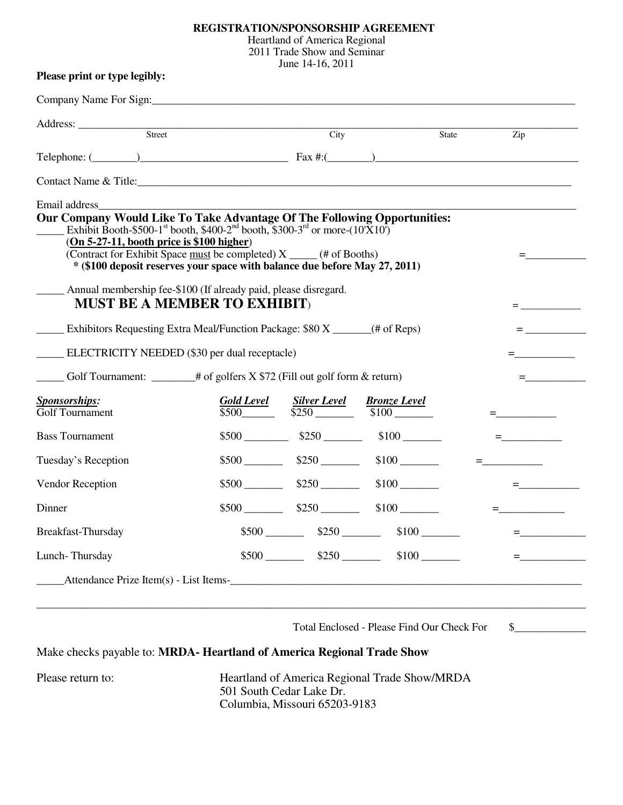## **REGISTRATION/SPONSORSHIP AGREEMENT**

Heartland of America Regional

2011 Trade Show and Seminar

June 14-16, 2011

|                                                                                                                                                                                                                                                                                                                                                                                                                                                                                                                                                                                                                                                                              | Company Name For Sign: Company Name For Sign: |                      |                      |       |                                                                                                                                                                                                                                                                                                                        |
|------------------------------------------------------------------------------------------------------------------------------------------------------------------------------------------------------------------------------------------------------------------------------------------------------------------------------------------------------------------------------------------------------------------------------------------------------------------------------------------------------------------------------------------------------------------------------------------------------------------------------------------------------------------------------|-----------------------------------------------|----------------------|----------------------|-------|------------------------------------------------------------------------------------------------------------------------------------------------------------------------------------------------------------------------------------------------------------------------------------------------------------------------|
|                                                                                                                                                                                                                                                                                                                                                                                                                                                                                                                                                                                                                                                                              |                                               |                      |                      |       |                                                                                                                                                                                                                                                                                                                        |
| Address: <u>Street Street Street Street Street Street Street Street Street Street Street Street Street Street Street Street Street Street Street Street Street Street Street Street Street Street Street Street Street Street St</u>                                                                                                                                                                                                                                                                                                                                                                                                                                         |                                               | City                 |                      | State | Zip                                                                                                                                                                                                                                                                                                                    |
| Telephone: $(\_\_\_\_\_)$                                                                                                                                                                                                                                                                                                                                                                                                                                                                                                                                                                                                                                                    |                                               |                      |                      |       |                                                                                                                                                                                                                                                                                                                        |
| Contact Name & Title: 1988 Contact Name & Title:                                                                                                                                                                                                                                                                                                                                                                                                                                                                                                                                                                                                                             |                                               |                      |                      |       |                                                                                                                                                                                                                                                                                                                        |
| Email address<br>Our Company Would Like To Take Advantage Of The Following Opportunities:<br>Exhibit Booth-\$500-1 <sup>st</sup> booth, \$400-2 <sup>nd</sup> booth, \$300-3 <sup>rd</sup> or more- $(10^{\circ}\text{X}10^{\circ})$<br>$(On 5-27-11, booth price is $100 higher)$<br>(Contract for Exhibit Space must be completed) X _____ (# of Booths)<br>* (\$100 deposit reserves your space with balance due before May 27, 2011)<br>Annual membership fee-\$100 (If already paid, please disregard.<br><b>MUST BE A MEMBER TO EXHIBIT)</b><br>Exhibitors Requesting Extra Meal/Function Package: \$80 X (# of Reps)<br>ELECTRICITY NEEDED (\$30 per dual receptacle) |                                               |                      |                      |       | $=$ $\sim$ $\sim$ $\sim$<br>$=$ $\sim$ $\sim$ $\sim$ $\sim$<br>material contracts and<br>$=$ $\sim$ $\sim$ $\sim$ $\sim$                                                                                                                                                                                               |
| $\frac{1}{2}$ Golf Tournament: $\frac{1}{2}$ # of golfers X \$72 (Fill out golf form & return)                                                                                                                                                                                                                                                                                                                                                                                                                                                                                                                                                                               |                                               |                      |                      |       | $=$ $\frac{1}{2}$ $\frac{1}{2}$ $\frac{1}{2}$ $\frac{1}{2}$ $\frac{1}{2}$ $\frac{1}{2}$ $\frac{1}{2}$ $\frac{1}{2}$ $\frac{1}{2}$ $\frac{1}{2}$ $\frac{1}{2}$ $\frac{1}{2}$ $\frac{1}{2}$ $\frac{1}{2}$ $\frac{1}{2}$ $\frac{1}{2}$ $\frac{1}{2}$ $\frac{1}{2}$ $\frac{1}{2}$ $\frac{1}{2}$ $\frac{1}{2}$ $\frac{1}{2$ |
| <b>Sponsorships:</b><br>Golf Tournament                                                                                                                                                                                                                                                                                                                                                                                                                                                                                                                                                                                                                                      |                                               |                      |                      |       |                                                                                                                                                                                                                                                                                                                        |
| <b>Bass Tournament</b>                                                                                                                                                                                                                                                                                                                                                                                                                                                                                                                                                                                                                                                       |                                               |                      | $$500$ $$250$ $$100$ |       | $\equiv$ and the set of $\sim$                                                                                                                                                                                                                                                                                         |
| Tuesday's Reception                                                                                                                                                                                                                                                                                                                                                                                                                                                                                                                                                                                                                                                          |                                               | $$500$ $$250$        | $$100$ $\qquad$      |       |                                                                                                                                                                                                                                                                                                                        |
| Vendor Reception                                                                                                                                                                                                                                                                                                                                                                                                                                                                                                                                                                                                                                                             |                                               | $$500$ $$250$        | $$100$ $\_\_$        |       | $\equiv$ , and the set of $\sim$                                                                                                                                                                                                                                                                                       |
|                                                                                                                                                                                                                                                                                                                                                                                                                                                                                                                                                                                                                                                                              |                                               | $$500$ $$250$        | $$100$ $\qquad$      |       |                                                                                                                                                                                                                                                                                                                        |
|                                                                                                                                                                                                                                                                                                                                                                                                                                                                                                                                                                                                                                                                              |                                               |                      |                      |       |                                                                                                                                                                                                                                                                                                                        |
| Dinner<br>Breakfast-Thursday                                                                                                                                                                                                                                                                                                                                                                                                                                                                                                                                                                                                                                                 |                                               | $$500$ $$250$ $$250$ | $$100$ $\qquad$      |       |                                                                                                                                                                                                                                                                                                                        |

Total Enclosed - Please Find Our Check For \$\_\_\_\_\_\_\_\_\_\_\_\_\_

# Make checks payable to: **MRDA- Heartland of America Regional Trade Show**

Please return to: **Heartland of America Regional Trade Show/MRDA**  501 South Cedar Lake Dr. Columbia, Missouri 65203-9183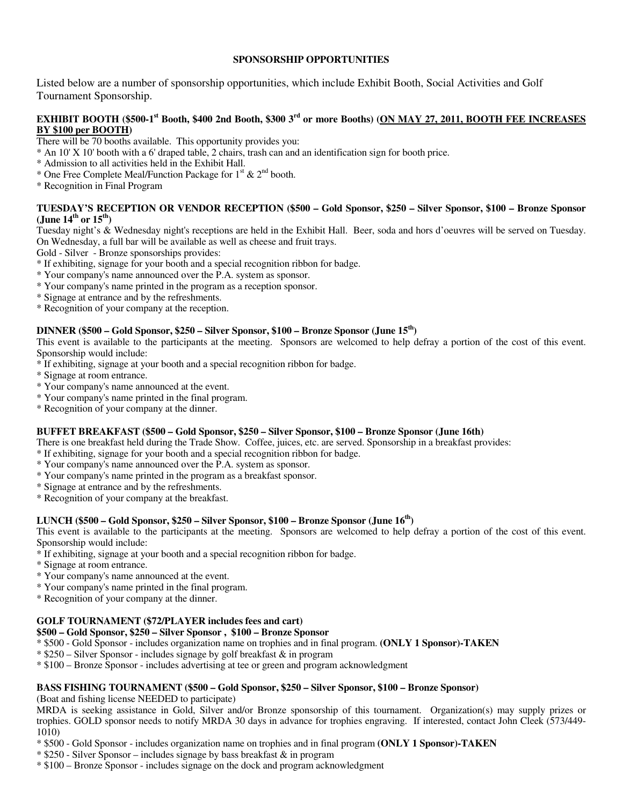## **SPONSORSHIP OPPORTUNITIES**

Listed below are a number of sponsorship opportunities, which include Exhibit Booth, Social Activities and Golf Tournament Sponsorship.

## **EXHIBIT BOOTH (\$500-1st Booth, \$400 2nd Booth, \$300 3rd or more Booths) (ON MAY 27, 2011, BOOTH FEE INCREASES BY \$100 per BOOTH)**

There will be 70 booths available. This opportunity provides you:

- \* An 10' X 10' booth with a 6' draped table, 2 chairs, trash can and an identification sign for booth price.
- \* Admission to all activities held in the Exhibit Hall.
- \* One Free Complete Meal/Function Package for  $1^{st}$  &  $2^{nd}$  booth.
- \* Recognition in Final Program

## **TUESDAY'S RECEPTION OR VENDOR RECEPTION (\$500 – Gold Sponsor, \$250 – Silver Sponsor, \$100 – Bronze Sponsor (June 14th or 15th)**

Tuesday night's & Wednesday night's receptions are held in the Exhibit Hall. Beer, soda and hors d'oeuvres will be served on Tuesday. On Wednesday, a full bar will be available as well as cheese and fruit trays.

Gold - Silver - Bronze sponsorships provides:

- \* If exhibiting, signage for your booth and a special recognition ribbon for badge.
- \* Your company's name announced over the P.A. system as sponsor.
- \* Your company's name printed in the program as a reception sponsor.
- \* Signage at entrance and by the refreshments.
- \* Recognition of your company at the reception.

## **DINNER (\$500 – Gold Sponsor, \$250 – Silver Sponsor, \$100 – Bronze Sponsor (June 15th)**

This event is available to the participants at the meeting. Sponsors are welcomed to help defray a portion of the cost of this event. Sponsorship would include:

- \* If exhibiting, signage at your booth and a special recognition ribbon for badge.
- \* Signage at room entrance.
- \* Your company's name announced at the event.
- \* Your company's name printed in the final program.
- \* Recognition of your company at the dinner.

### **BUFFET BREAKFAST (\$500 – Gold Sponsor, \$250 – Silver Sponsor, \$100 – Bronze Sponsor (June 16th)**

There is one breakfast held during the Trade Show. Coffee, juices, etc. are served. Sponsorship in a breakfast provides:

- \* If exhibiting, signage for your booth and a special recognition ribbon for badge.
- \* Your company's name announced over the P.A. system as sponsor.
- \* Your company's name printed in the program as a breakfast sponsor.
- \* Signage at entrance and by the refreshments.
- \* Recognition of your company at the breakfast.

### **LUNCH (\$500 – Gold Sponsor, \$250 – Silver Sponsor, \$100 – Bronze Sponsor (June 16th)**

This event is available to the participants at the meeting. Sponsors are welcomed to help defray a portion of the cost of this event. Sponsorship would include:

- \* If exhibiting, signage at your booth and a special recognition ribbon for badge.
- \* Signage at room entrance.
- \* Your company's name announced at the event.
- \* Your company's name printed in the final program.
- \* Recognition of your company at the dinner.

## **GOLF TOURNAMENT (\$72/PLAYER includes fees and cart)**

## **\$500 – Gold Sponsor, \$250 – Silver Sponsor , \$100 – Bronze Sponsor**

- \* \$500 Gold Sponsor includes organization name on trophies and in final program. **(ONLY 1 Sponsor)-TAKEN**
- \* \$250 Silver Sponsor includes signage by golf breakfast & in program
- \* \$100 Bronze Sponsor includes advertising at tee or green and program acknowledgment

## **BASS FISHING TOURNAMENT (\$500 – Gold Sponsor, \$250 – Silver Sponsor, \$100 – Bronze Sponsor)**

(Boat and fishing license NEEDED to participate)

MRDA is seeking assistance in Gold, Silver and/or Bronze sponsorship of this tournament. Organization(s) may supply prizes or trophies. GOLD sponsor needs to notify MRDA 30 days in advance for trophies engraving. If interested, contact John Cleek (573/449- 1010)

\* \$500 - Gold Sponsor - includes organization name on trophies and in final program **(ONLY 1 Sponsor)-TAKEN**

- $*$  \$250 Silver Sponsor includes signage by bass breakfast  $&$  in program
- \* \$100 Bronze Sponsor includes signage on the dock and program acknowledgment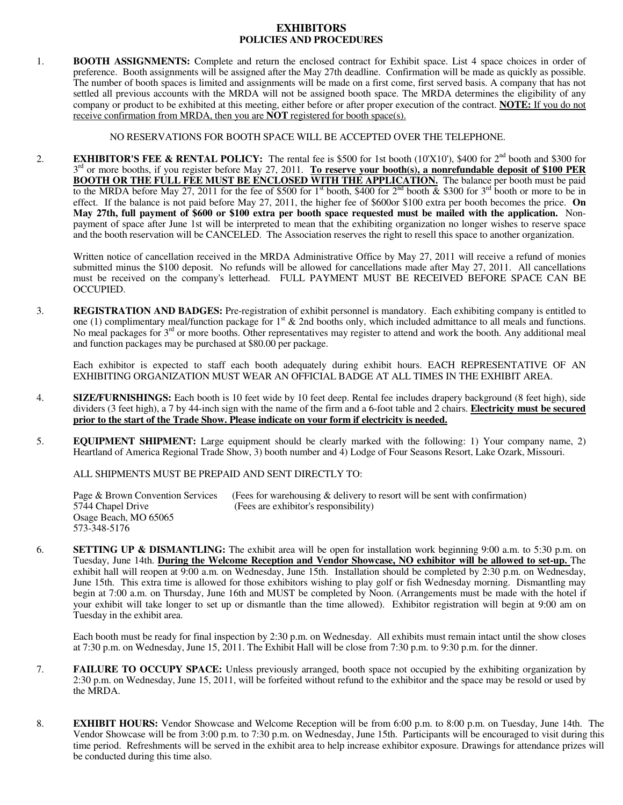## **EXHIBITORS POLICIES AND PROCEDURES**

1. **BOOTH ASSIGNMENTS:** Complete and return the enclosed contract for Exhibit space. List 4 space choices in order of preference. Booth assignments will be assigned after the May 27th deadline. Confirmation will be made as quickly as possible. The number of booth spaces is limited and assignments will be made on a first come, first served basis. A company that has not settled all previous accounts with the MRDA will not be assigned booth space. The MRDA determines the eligibility of any company or product to be exhibited at this meeting, either before or after proper execution of the contract. **NOTE:** If you do not receive confirmation from MRDA, then you are **NOT** registered for booth space(s).

NO RESERVATIONS FOR BOOTH SPACE WILL BE ACCEPTED OVER THE TELEPHONE.

2. **EXHIBITOR'S FEE & RENTAL POLICY:** The rental fee is \$500 for 1st booth (10'X10'), \$400 for  $2<sup>nd</sup>$  booth and \$300 for 3<sup>rd</sup> or more booths, if you register before May 27, 2011. To reserve your booth(s), a nonrefundable deposit of \$100 PER **BOOTH OR THE FULL FEE MUST BE ENCLOSED WITH THE APPLICATION.** The balance per booth must be paid to the MRDA before May 27, 2011 for the fee of \$500 for 1<sup>st</sup> booth, \$400 for 2<sup>nd</sup> booth  $\&$  \$300 for 3<sup>rd</sup> booth or more to be in effect. If the balance is not paid before May 27, 2011, the higher fee of \$600or \$100 extra per booth becomes the price. **On May 27th, full payment of \$600 or \$100 extra per booth space requested must be mailed with the application.** Nonpayment of space after June 1st will be interpreted to mean that the exhibiting organization no longer wishes to reserve space and the booth reservation will be CANCELED. The Association reserves the right to resell this space to another organization.

 Written notice of cancellation received in the MRDA Administrative Office by May 27, 2011 will receive a refund of monies submitted minus the \$100 deposit. No refunds will be allowed for cancellations made after May 27, 2011. All cancellations must be received on the company's letterhead. FULL PAYMENT MUST BE RECEIVED BEFORE SPACE CAN BE OCCUPIED.

3. **REGISTRATION AND BADGES:** Pre-registration of exhibit personnel is mandatory. Each exhibiting company is entitled to one (1) complimentary meal/function package for  $1<sup>st</sup>$  & 2nd booths only, which included admittance to all meals and functions. No meal packages for  $3<sup>rd</sup>$  or more booths. Other representatives may register to attend and work the booth. Any additional meal and function packages may be purchased at \$80.00 per package.

 Each exhibitor is expected to staff each booth adequately during exhibit hours. EACH REPRESENTATIVE OF AN EXHIBITING ORGANIZATION MUST WEAR AN OFFICIAL BADGE AT ALL TIMES IN THE EXHIBIT AREA.

- 4. **SIZE/FURNISHINGS:** Each booth is 10 feet wide by 10 feet deep. Rental fee includes drapery background (8 feet high), side dividers (3 feet high), a 7 by 44-inch sign with the name of the firm and a 6-foot table and 2 chairs. **Electricity must be secured prior to the start of the Trade Show. Please indicate on your form if electricity is needed.**
- 5. **EQUIPMENT SHIPMENT:** Large equipment should be clearly marked with the following: 1) Your company name, 2) Heartland of America Regional Trade Show, 3) booth number and 4) Lodge of Four Seasons Resort, Lake Ozark, Missouri.

ALL SHIPMENTS MUST BE PREPAID AND SENT DIRECTLY TO:

Page & Brown Convention Services (Fees for warehousing & delivery to resort will be sent with confirmation) 5744 Chapel Drive (Fees are exhibitor's responsibility) Osage Beach, MO 65065 573-348-5176

6. **SETTING UP & DISMANTLING:** The exhibit area will be open for installation work beginning 9:00 a.m. to 5:30 p.m. on Tuesday, June 14th. **During the Welcome Reception and Vendor Showcase, NO exhibitor will be allowed to set-up.** The exhibit hall will reopen at 9:00 a.m. on Wednesday, June 15th. Installation should be completed by 2:30 p.m. on Wednesday, June 15th. This extra time is allowed for those exhibitors wishing to play golf or fish Wednesday morning. Dismantling may begin at 7:00 a.m. on Thursday, June 16th and MUST be completed by Noon. (Arrangements must be made with the hotel if your exhibit will take longer to set up or dismantle than the time allowed). Exhibitor registration will begin at 9:00 am on Tuesday in the exhibit area.

 Each booth must be ready for final inspection by 2:30 p.m. on Wednesday. All exhibits must remain intact until the show closes at 7:30 p.m. on Wednesday, June 15, 2011. The Exhibit Hall will be close from 7:30 p.m. to 9:30 p.m. for the dinner.

- 7. **FAILURE TO OCCUPY SPACE:** Unless previously arranged, booth space not occupied by the exhibiting organization by 2:30 p.m. on Wednesday, June 15, 2011, will be forfeited without refund to the exhibitor and the space may be resold or used by the MRDA.
- 8. **EXHIBIT HOURS:** Vendor Showcase and Welcome Reception will be from 6:00 p.m. to 8:00 p.m. on Tuesday, June 14th. The Vendor Showcase will be from 3:00 p.m. to 7:30 p.m. on Wednesday, June 15th. Participants will be encouraged to visit during this time period. Refreshments will be served in the exhibit area to help increase exhibitor exposure. Drawings for attendance prizes will be conducted during this time also.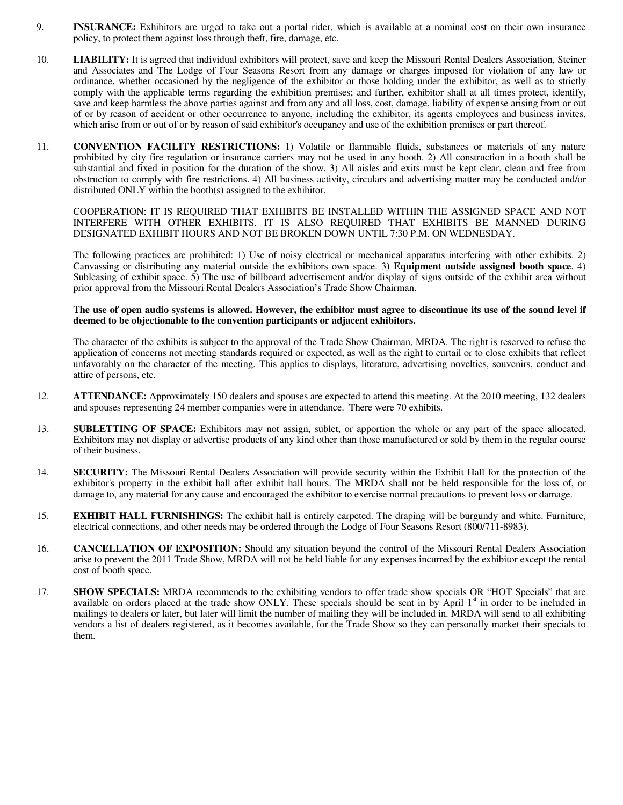- 9. **INSURANCE:** Exhibitors are urged to take out a portal rider, which is available at a nominal cost on their own insurance policy, to protect them against loss through theft, fire, damage, etc.
- 10. **LIABILITY:** It is agreed that individual exhibitors will protect, save and keep the Missouri Rental Dealers Association, Steiner and Associates and The Lodge of Four Seasons Resort from any damage or charges imposed for violation of any law or ordinance, whether occasioned by the negligence of the exhibitor or those holding under the exhibitor, as well as to strictly comply with the applicable terms regarding the exhibition premises; and further, exhibitor shall at all times protect, identify, save and keep harmless the above parties against and from any and all loss, cost, damage, liability of expense arising from or out of or by reason of accident or other occurrence to anyone, including the exhibitor, its agents employees and business invites, which arise from or out of or by reason of said exhibitor's occupancy and use of the exhibition premises or part thereof.
- 11. **CONVENTION FACILITY RESTRICTIONS:** 1) Volatile or flammable fluids, substances or materials of any nature prohibited by city fire regulation or insurance carriers may not be used in any booth. 2) All construction in a booth shall be substantial and fixed in position for the duration of the show. 3) All aisles and exits must be kept clear, clean and free from obstruction to comply with fire restrictions. 4) All business activity, circulars and advertising matter may be conducted and/or distributed ONLY within the booth(s) assigned to the exhibitor.

 COOPERATION: IT IS REQUIRED THAT EXHIBITS BE INSTALLED WITHIN THE ASSIGNED SPACE AND NOT INTERFERE WITH OTHER EXHIBITS. IT IS ALSO REQUIRED THAT EXHIBITS BE MANNED DURING DESIGNATED EXHIBIT HOURS AND NOT BE BROKEN DOWN UNTIL 7:30 P.M. ON WEDNESDAY.

 The following practices are prohibited: 1) Use of noisy electrical or mechanical apparatus interfering with other exhibits. 2) Canvassing or distributing any material outside the exhibitors own space. 3**) Equipment outside assigned booth space**. 4) Subleasing of exhibit space. 5) The use of billboard advertisement and/or display of signs outside of the exhibit area without prior approval from the Missouri Rental Dealers Association's Trade Show Chairman.

#### **The use of open audio systems is allowed. However, the exhibitor must agree to discontinue its use of the sound level if deemed to be objectionable to the convention participants or adjacent exhibitors.**

 The character of the exhibits is subject to the approval of the Trade Show Chairman, MRDA. The right is reserved to refuse the application of concerns not meeting standards required or expected, as well as the right to curtail or to close exhibits that reflect unfavorably on the character of the meeting. This applies to displays, literature, advertising novelties, souvenirs, conduct and attire of persons, etc.

- 12. **ATTENDANCE:** Approximately 150 dealers and spouses are expected to attend this meeting. At the 2010 meeting, 132 dealers and spouses representing 24 member companies were in attendance. There were 70 exhibits.
- 13. **SUBLETTING OF SPACE:** Exhibitors may not assign, sublet, or apportion the whole or any part of the space allocated. Exhibitors may not display or advertise products of any kind other than those manufactured or sold by them in the regular course of their business.
- 14. **SECURITY:** The Missouri Rental Dealers Association will provide security within the Exhibit Hall for the protection of the exhibitor's property in the exhibit hall after exhibit hall hours. The MRDA shall not be held responsible for the loss of, or damage to, any material for any cause and encouraged the exhibitor to exercise normal precautions to prevent loss or damage.
- 15. **EXHIBIT HALL FURNISHINGS:** The exhibit hall is entirely carpeted. The draping will be burgundy and white. Furniture, electrical connections, and other needs may be ordered through the Lodge of Four Seasons Resort (800/711-8983).
- 16. **CANCELLATION OF EXPOSITION:** Should any situation beyond the control of the Missouri Rental Dealers Association arise to prevent the 2011 Trade Show, MRDA will not be held liable for any expenses incurred by the exhibitor except the rental cost of booth space.
- 17. **SHOW SPECIALS:** MRDA recommends to the exhibiting vendors to offer trade show specials OR "HOT Specials" that are available on orders placed at the trade show ONLY. These specials should be sent in by April  $1<sup>st</sup>$  in order to be included in mailings to dealers or later, but later will limit the number of mailing they will be included in. MRDA will send to all exhibiting vendors a list of dealers registered, as it becomes available, for the Trade Show so they can personally market their specials to them.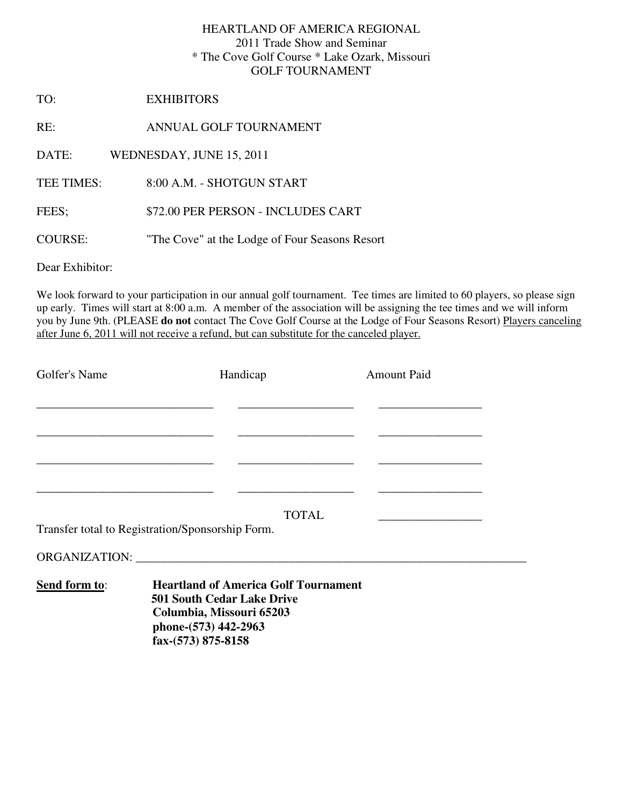## HEARTLAND OF AMERICA REGIONAL 2011 Trade Show and Seminar \* The Cove Golf Course \* Lake Ozark, Missouri GOLF TOURNAMENT

TO: EXHIBITORS

RE: ANNUAL GOLF TOURNAMENT

DATE: WEDNESDAY, JUNE 15, 2011

TEE TIMES: 8:00 A.M. - SHOTGUN START

FEES; \$72.00 PER PERSON - INCLUDES CART

COURSE: "The Cove" at the Lodge of Four Seasons Resort

Dear Exhibitor:

We look forward to your participation in our annual golf tournament. Tee times are limited to 60 players, so please sign up early. Times will start at 8:00 a.m. A member of the association will be assigning the tee times and we will inform you by June 9th. (PLEASE **do not** contact The Cove Golf Course at the Lodge of Four Seasons Resort) Players canceling after June 6, 2011 will not receive a refund, but can substitute for the canceled player.

| Golfer's Name                                    | Handicap     | <b>Amount Paid</b> |
|--------------------------------------------------|--------------|--------------------|
|                                                  |              |                    |
|                                                  |              |                    |
|                                                  |              |                    |
|                                                  |              |                    |
|                                                  |              |                    |
|                                                  | <b>TOTAL</b> |                    |
| Transfer total to Registration/Sponsorship Form. |              |                    |
|                                                  |              |                    |

**Send form to**: **Heartland of America Golf Tournament 501 South Cedar Lake Drive Columbia, Missouri 65203 phone-(573) 442-2963 fax-(573) 875-8158**